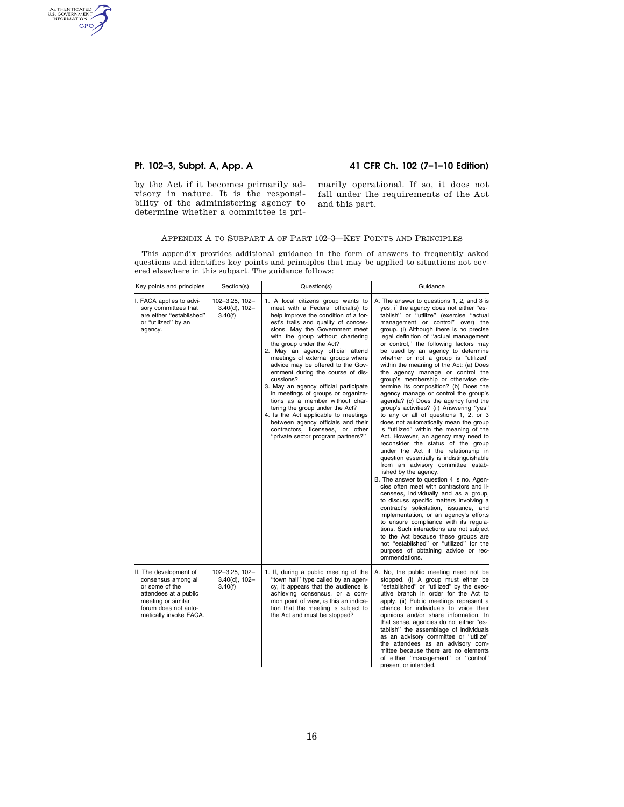authenticated<br>u.s. government<br>information<br>GPO

# **Pt. 102–3, Subpt. A, App. A 41 CFR Ch. 102 (7–1–10 Edition)**

by the Act if it becomes primarily advisory in nature. It is the responsibility of the administering agency to determine whether a committee is primarily operational. If so, it does not fall under the requirements of the Act and this part.

## APPENDIX A TO SUBPART A OF PART 102–3—KEY POINTS AND PRINCIPLES

This appendix provides additional guidance in the form of answers to frequently asked questions and identifies key points and principles that may be applied to situations not covered elsewhere in this subpart. The guidance follows:

| Key points and principles                                                                                                                                        | Section(s)                                    | Question(s)                                                                                                                                                                                                                                                                                                                                                                                                                                                                                                                                                                                                                                                                                                                             | Guidance                                                                                                                                                                                                                                                                                                                                                                                                                                                                                                                                                                                                                                                                                                                                                                                                                                                                                                                                                                                                                                                                                                                                                                                                                                                                                                                                                                                                                                                                                                                               |
|------------------------------------------------------------------------------------------------------------------------------------------------------------------|-----------------------------------------------|-----------------------------------------------------------------------------------------------------------------------------------------------------------------------------------------------------------------------------------------------------------------------------------------------------------------------------------------------------------------------------------------------------------------------------------------------------------------------------------------------------------------------------------------------------------------------------------------------------------------------------------------------------------------------------------------------------------------------------------------|----------------------------------------------------------------------------------------------------------------------------------------------------------------------------------------------------------------------------------------------------------------------------------------------------------------------------------------------------------------------------------------------------------------------------------------------------------------------------------------------------------------------------------------------------------------------------------------------------------------------------------------------------------------------------------------------------------------------------------------------------------------------------------------------------------------------------------------------------------------------------------------------------------------------------------------------------------------------------------------------------------------------------------------------------------------------------------------------------------------------------------------------------------------------------------------------------------------------------------------------------------------------------------------------------------------------------------------------------------------------------------------------------------------------------------------------------------------------------------------------------------------------------------------|
| I. FACA applies to advi-<br>sory committees that<br>are either "established"<br>or "utilized" by an<br>agency.                                                   | 102-3.25, 102-<br>$3.40(d)$ , 102-<br>3.40(f) | 1. A local citizens group wants to<br>meet with a Federal official(s) to<br>help improve the condition of a for-<br>est's trails and quality of conces-<br>sions. May the Government meet<br>with the group without chartering<br>the group under the Act?<br>2. May an agency official attend<br>meetings of external groups where<br>advice may be offered to the Gov-<br>ernment during the course of dis-<br>cussions?<br>3. May an agency official participate<br>in meetings of groups or organiza-<br>tions as a member without char-<br>tering the group under the Act?<br>4. Is the Act applicable to meetings<br>between agency officials and their<br>contractors, licensees, or other<br>"private sector program partners?" | A. The answer to questions 1, 2, and 3 is<br>yes, if the agency does not either "es-<br>tablish" or "utilize" (exercise "actual<br>management or control" over) the<br>group. (i) Although there is no precise<br>legal definition of "actual management<br>or control," the following factors may<br>be used by an agency to determine<br>whether or not a group is "utilized"<br>within the meaning of the Act: (a) Does<br>the agency manage or control the<br>group's membership or otherwise de-<br>termine its composition? (b) Does the<br>agency manage or control the group's<br>agenda? (c) Does the agency fund the<br>group's activities? (ii) Answering "yes"<br>to any or all of questions 1, 2, or 3<br>does not automatically mean the group<br>is "utilized" within the meaning of the<br>Act. However, an agency may need to<br>reconsider the status of the group<br>under the Act if the relationship in<br>question essentially is indistinguishable<br>from an advisory committee estab-<br>lished by the agency.<br>B. The answer to question 4 is no. Agen-<br>cies often meet with contractors and li-<br>censees, individually and as a group,<br>to discuss specific matters involving a<br>contract's solicitation, issuance, and<br>implementation, or an agency's efforts<br>to ensure compliance with its regula-<br>tions. Such interactions are not subject<br>to the Act because these groups are<br>not "established" or "utilized" for the<br>purpose of obtaining advice or rec-<br>ommendations. |
| II. The development of<br>consensus among all<br>or some of the<br>attendees at a public<br>meeting or similar<br>forum does not auto-<br>matically invoke FACA. | 102-3.25, 102-<br>$3.40(d)$ , 102-<br>3.40(f) | 1. If, during a public meeting of the<br>"town hall" type called by an agen-<br>cy, it appears that the audience is<br>achieving consensus, or a com-<br>mon point of view, is this an indica-<br>tion that the meeting is subject to<br>the Act and must be stopped?                                                                                                                                                                                                                                                                                                                                                                                                                                                                   | A. No, the public meeting need not be<br>stopped. (i) A group must either be<br>"established" or "utilized" by the exec-<br>utive branch in order for the Act to<br>apply. (ii) Public meetings represent a<br>chance for individuals to voice their<br>opinions and/or share information. In<br>that sense, agencies do not either "es-<br>tablish" the assemblage of individuals<br>as an advisory committee or "utilize"<br>the attendees as an advisory com-<br>mittee because there are no elements<br>of either "management" or "control"<br>present or intended.                                                                                                                                                                                                                                                                                                                                                                                                                                                                                                                                                                                                                                                                                                                                                                                                                                                                                                                                                                |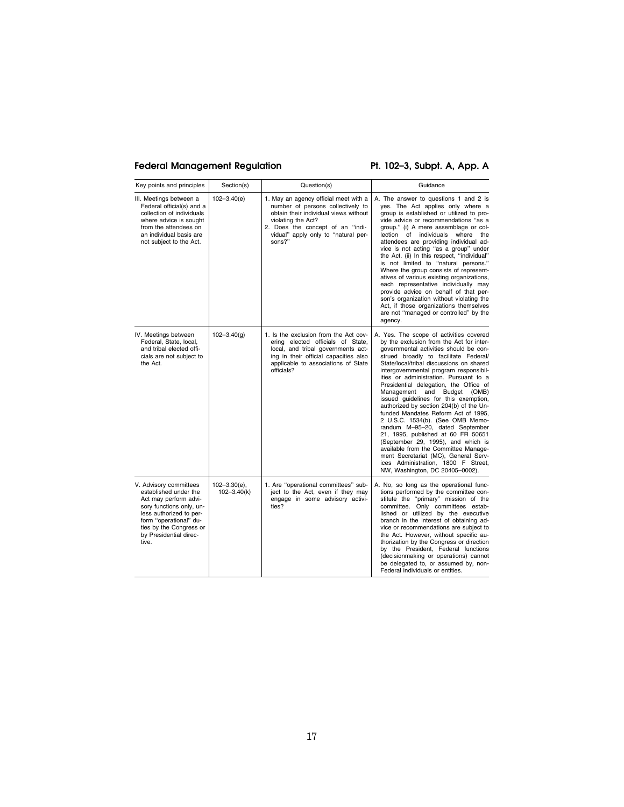# Federal Management Regulation Pt. 102-3, Subpt. A, App. A

| Key points and principles                                                                                                                                                                                               | Section(s)                           | Question(s)                                                                                                                                                                                                                    | Guidance                                                                                                                                                                                                                                                                                                                                                                                                                                                                                                                                                                                                                                                                                                                                                                                                                |
|-------------------------------------------------------------------------------------------------------------------------------------------------------------------------------------------------------------------------|--------------------------------------|--------------------------------------------------------------------------------------------------------------------------------------------------------------------------------------------------------------------------------|-------------------------------------------------------------------------------------------------------------------------------------------------------------------------------------------------------------------------------------------------------------------------------------------------------------------------------------------------------------------------------------------------------------------------------------------------------------------------------------------------------------------------------------------------------------------------------------------------------------------------------------------------------------------------------------------------------------------------------------------------------------------------------------------------------------------------|
| III. Meetings between a<br>Federal official(s) and a<br>collection of individuals<br>where advice is sought<br>from the attendees on<br>an individual basis are<br>not subject to the Act.                              | $102 - 3.40(e)$                      | 1. May an agency official meet with a<br>number of persons collectively to<br>obtain their individual views without<br>violating the Act?<br>2. Does the concept of an "indi-<br>vidual" apply only to "natural per-<br>sons?" | A. The answer to questions 1 and 2 is<br>yes. The Act applies only where a<br>group is established or utilized to pro-<br>vide advice or recommendations "as a<br>group." (i) A mere assemblage or col-<br>lection of individuals where<br>the<br>attendees are providing individual ad-<br>vice is not acting "as a group" under<br>the Act. (ii) In this respect, "individual"<br>is not limited to "natural persons."<br>Where the group consists of represent-<br>atives of various existing organizations,<br>each representative individually may<br>provide advice on behalf of that per-<br>son's organization without violating the<br>Act, if those organizations themselves<br>are not "managed or controlled" by the<br>agency.                                                                             |
| IV. Meetings between<br>Federal, State, local,<br>and tribal elected offi-<br>cials are not subject to<br>the Act.                                                                                                      | $102 - 3.40(g)$                      | 1. Is the exclusion from the Act cov-<br>ering elected officials of State,<br>local, and tribal governments act-<br>ing in their official capacities also<br>applicable to associations of State<br>officials?                 | A. Yes. The scope of activities covered<br>by the exclusion from the Act for inter-<br>governmental activities should be con-<br>strued broadly to facilitate Federal/<br>State/local/tribal discussions on shared<br>intergovernmental program responsibil-<br>ities or administration. Pursuant to a<br>Presidential delegation, the Office of<br>Management and Budget (OMB)<br>issued quidelines for this exemption,<br>authorized by section 204(b) of the Un-<br>funded Mandates Reform Act of 1995,<br>2 U.S.C. 1534(b). (See OMB Memo-<br>randum M-95-20, dated September<br>21, 1995, published at 60 FR 50651<br>(September 29, 1995), and which is<br>available from the Committee Manage-<br>ment Secretariat (MC), General Serv-<br>ices Administration, 1800 F Street,<br>NW, Washington, DC 20405-0002). |
| V. Advisory committees<br>established under the<br>Act may perform advi-<br>sory functions only, un-<br>less authorized to per-<br>form "operational" du-<br>ties by the Congress or<br>by Presidential direc-<br>tive. | $102 - 3.30(e)$ ,<br>$102 - 3.40(k)$ | 1. Are "operational committees" sub-<br>ject to the Act, even if they may<br>engage in some advisory activi-<br>ties?                                                                                                          | A. No, so long as the operational func-<br>tions performed by the committee con-<br>stitute the "primary" mission of the<br>committee. Only committees estab-<br>lished or utilized by the executive<br>branch in the interest of obtaining ad-<br>vice or recommendations are subject to<br>the Act. However, without specific au-<br>thorization by the Congress or direction<br>by the President, Federal functions<br>(decisionmaking or operations) cannot<br>be delegated to, or assumed by, non-<br>Federal individuals or entities.                                                                                                                                                                                                                                                                             |